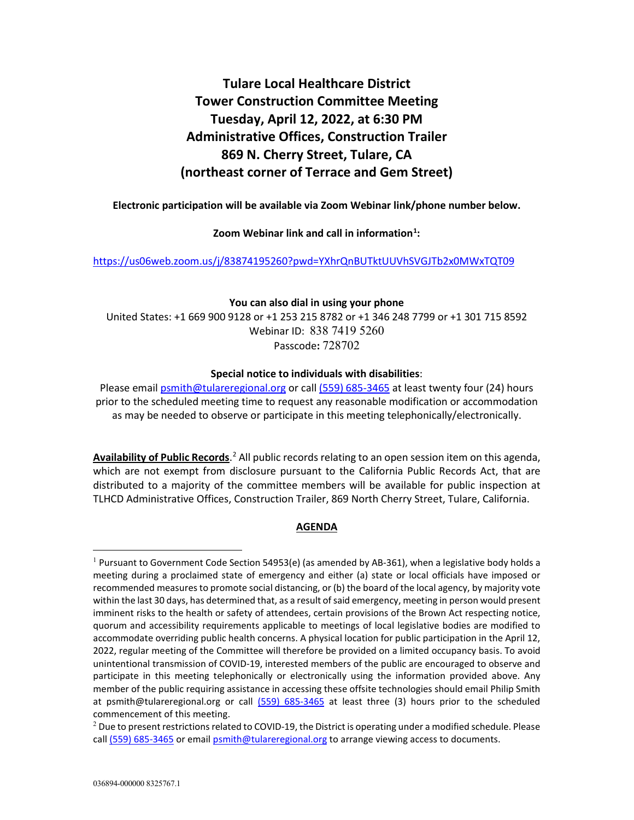# **Tulare Local Healthcare District Tower Construction Committee Meeting Tuesday, April 12, 2022, at 6:30 PM Administrative Offices, Construction Trailer 869 N. Cherry Street, Tulare, CA (northeast corner of Terrace and Gem Street)**

**Electronic participation will be available via Zoom Webinar link/phone number below.**

**Zoom Webinar link and call in information[1](#page-0-0) :** 

<https://us06web.zoom.us/j/83874195260?pwd=YXhrQnBUTktUUVhSVGJTb2x0MWxTQT09>

#### **You can also dial in using your phone**

United States: +1 669 900 9128 or +1 253 215 8782 or +1 346 248 7799 or +1 301 715 8592 Webinar ID: 838 7419 5260 Passcode**:** 728702

#### **Special notice to individuals with disabilities**:

Please email [psmith@tulareregional.org](mailto:psmith@tulareregional.org) or call (559) 685-3465 at least twenty four (24) hours prior to the scheduled meeting time to request any reasonable modification or accommodation as may be needed to observe or participate in this meeting telephonically/electronically.

Availability of Public Records.<sup>[2](#page-0-1)</sup> All public records relating to an open session item on this agenda, which are not exempt from disclosure pursuant to the California Public Records Act, that are distributed to a majority of the committee members will be available for public inspection at TLHCD Administrative Offices, Construction Trailer, 869 North Cherry Street, Tulare, California.

# **AGENDA**

<span id="page-0-0"></span><sup>&</sup>lt;sup>1</sup> Pursuant to Government Code Section 54953(e) (as amended by AB-361), when a legislative body holds a meeting during a proclaimed state of emergency and either (a) state or local officials have imposed or recommended measures to promote social distancing, or (b) the board of the local agency, by majority vote within the last 30 days, has determined that, as a result of said emergency, meeting in person would present imminent risks to the health or safety of attendees, certain provisions of the Brown Act respecting notice, quorum and accessibility requirements applicable to meetings of local legislative bodies are modified to accommodate overriding public health concerns. A physical location for public participation in the April 12, 2022, regular meeting of the Committee will therefore be provided on a limited occupancy basis. To avoid unintentional transmission of COVID-19, interested members of the public are encouraged to observe and participate in this meeting telephonically or electronically using the information provided above. Any member of the public requiring assistance in accessing these offsite technologies should email Philip Smith at psmith@tulareregional.org or call (559) 685-3465 at least three (3) hours prior to the scheduled commencement of this meeting.

<span id="page-0-1"></span> $<sup>2</sup>$  Due to present restrictions related to COVID-19, the District is operating under a modified schedule. Please</sup> call (559) 685-3465 or email [psmith@tulareregional.org](mailto:psmith@tulareregional.org) to arrange viewing access to documents.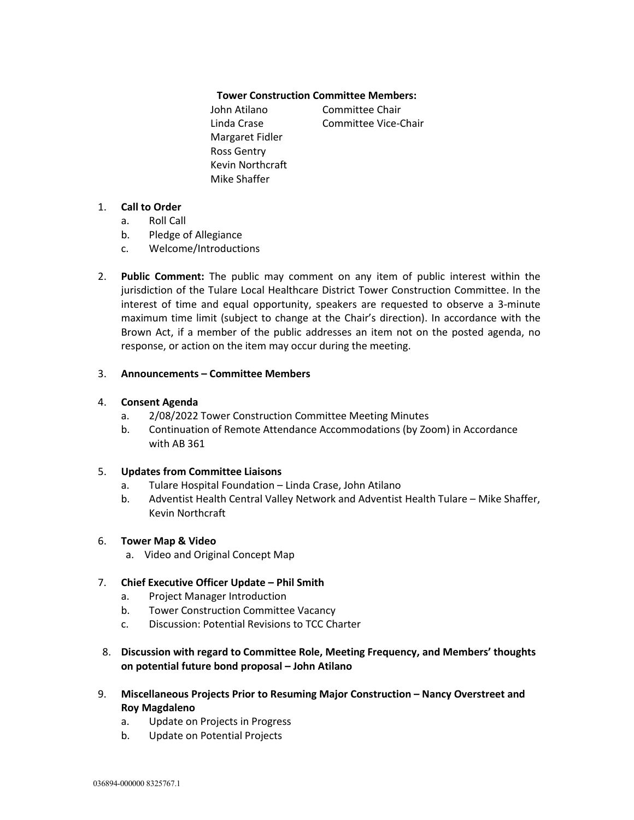## **Tower Construction Committee Members:**

John Atilano Committee Chair Linda Crase Committee Vice-Chair Margaret Fidler Ross Gentry Kevin Northcraft Mike Shaffer

## 1. **Call to Order**

- a. Roll Call
- b. Pledge of Allegiance
- c. Welcome/Introductions
- 2. **Public Comment:** The public may comment on any item of public interest within the jurisdiction of the Tulare Local Healthcare District Tower Construction Committee. In the interest of time and equal opportunity, speakers are requested to observe a 3-minute maximum time limit (subject to change at the Chair's direction). In accordance with the Brown Act, if a member of the public addresses an item not on the posted agenda, no response, or action on the item may occur during the meeting.

## 3. **Announcements – Committee Members**

## 4. **Consent Agenda**

- a. 2/08/2022 Tower Construction Committee Meeting Minutes
- b. Continuation of Remote Attendance Accommodations (by Zoom) in Accordance with AB 361

#### 5. **Updates from Committee Liaisons**

- a. Tulare Hospital Foundation Linda Crase, John Atilano
- b. Adventist Health Central Valley Network and Adventist Health Tulare Mike Shaffer, Kevin Northcraft

# 6. **Tower Map & Video**

a. Video and Original Concept Map

# 7. **Chief Executive Officer Update – Phil Smith**

- a. Project Manager Introduction
- b. Tower Construction Committee Vacancy
- c. Discussion: Potential Revisions to TCC Charter
- 8. **Discussion with regard to Committee Role, Meeting Frequency, and Members' thoughts on potential future bond proposal – John Atilano**
- 9. **Miscellaneous Projects Prior to Resuming Major Construction – Nancy Overstreet and Roy Magdaleno**
	- a. Update on Projects in Progress
	- b. Update on Potential Projects